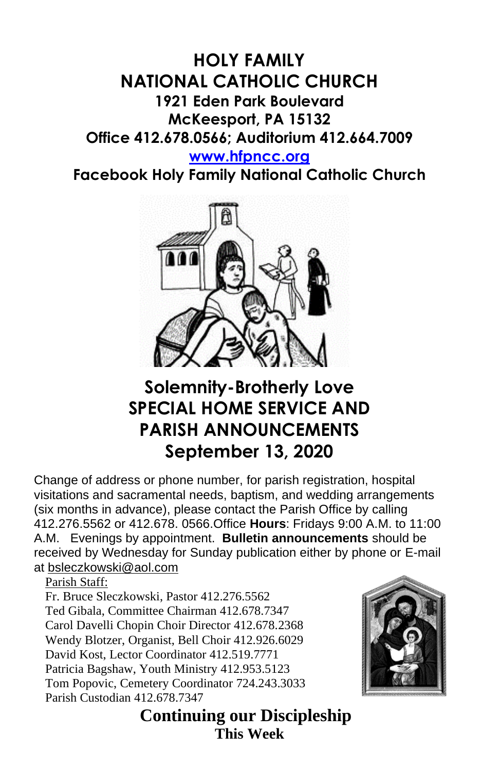## **HOLY FAMILY NATIONAL CATHOLIC CHURCH 1921 Eden Park Boulevard McKeesport, PA 15132 Office 412.678.0566; Auditorium 412.664.7009 [www.hfpncc.org](http://www.hfpncc.org/)**

**Facebook Holy Family National Catholic Church**



# **Solemnity-Brotherly Love SPECIAL HOME SERVICE AND PARISH ANNOUNCEMENTS September 13, 2020**

Change of address or phone number, for parish registration, hospital visitations and sacramental needs, baptism, and wedding arrangements (six months in advance), please contact the Parish Office by calling 412.276.5562 or 412.678. 0566.Office **Hours**: Fridays 9:00 A.M. to 11:00 A.M. Evenings by appointment. **Bulletin announcements** should be received by Wednesday for Sunday publication either by phone or E-mail at [bsleczkowski@aol.com](mailto:bsleczkowski@aol.com)

Parish Staff:

Fr. Bruce Sleczkowski, Pastor 412.276.5562 Ted Gibala, Committee Chairman 412.678.7347 Carol Davelli Chopin Choir Director 412.678.2368 Wendy Blotzer, Organist, Bell Choir 412.926.6029 David Kost, Lector Coordinator 412.519.7771 Patricia Bagshaw, Youth Ministry 412.953.5123 Tom Popovic, Cemetery Coordinator 724.243.3033 Parish Custodian 412.678.7347



 **Continuing our Discipleship This Week**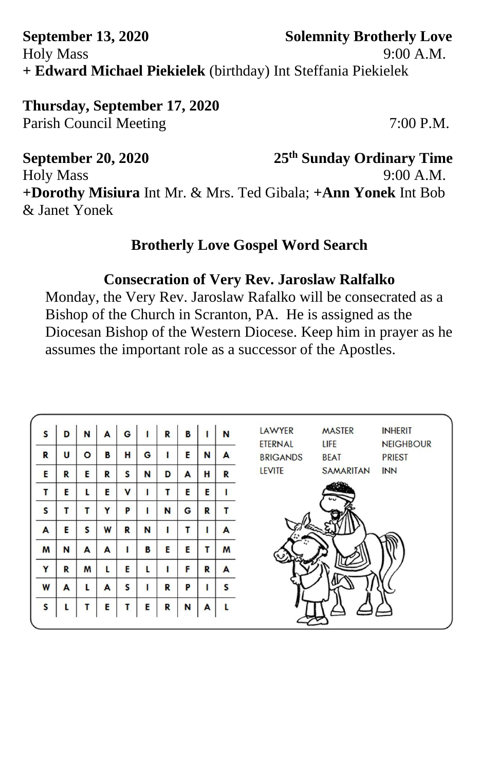### **September 13, 2020 Solemnity Brotherly Love**  Holy Mass 9:00 A.M. **+ Edward Michael Piekielek** (birthday) Int Steffania Piekielek

**Thursday, September 17, 2020** Parish Council Meeting 7:00 P.M.

**September 20, 2020 25th Sunday Ordinary Time** Holy Mass 9:00 A.M. **+Dorothy Misiura** Int Mr. & Mrs. Ted Gibala; **+Ann Yonek** Int Bob & Janet Yonek

#### **Brotherly Love Gospel Word Search**

#### **Consecration of Very Rev. Jaroslaw Ralfalko**

Monday, the Very Rev. Jaroslaw Rafalko will be consecrated as a Bishop of the Church in Scranton, PA. He is assigned as the Diocesan Bishop of the Western Diocese. Keep him in prayer as he assumes the important role as a successor of the Apostles.

| S            | D | N | A | G           | ı | R | B |   | N | LAWYER<br><b>MASTER</b><br><b>INHERIT</b><br><b>ETERNAL</b><br>LIFE<br><b>NEIGHBOUR</b> |
|--------------|---|---|---|-------------|---|---|---|---|---|-----------------------------------------------------------------------------------------|
| R            | U | O | в | н           | G | ı | Е | N | A | <b>BRIGANDS</b><br><b>PRIEST</b><br><b>BEAT</b>                                         |
| Е            | R | E | R | S           | N | D | A | н | R | <b>LEVITE</b><br><b>SAMARITAN</b><br><b>INN</b>                                         |
| т            | E | L | E | $\mathbf v$ |   | т | E | E |   |                                                                                         |
| $\mathsf{s}$ | т | т | Y | P           |   | N | G | R | т |                                                                                         |
| A            | E | S | W | R           | N | п | т |   | A | a.                                                                                      |
| M            | N | A | A |             | B | E | E | т | M |                                                                                         |
| Y            | R | M |   | E           | L | ı | F | R | A |                                                                                         |
| W            | A | L | A | S           |   | R | P |   | S |                                                                                         |
|              |   |   |   |             |   |   |   |   |   |                                                                                         |